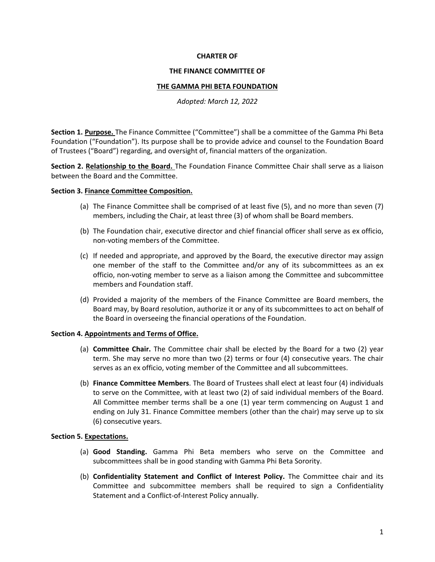# **CHARTER OF**

#### **THE FINANCE COMMITTEE OF**

### **THE GAMMA PHI BETA FOUNDATION**

*Adopted: March 12, 2022*

**Section 1. Purpose.** The Finance Committee ("Committee") shall be a committee of the Gamma Phi Beta Foundation ("Foundation"). Its purpose shall be to provide advice and counsel to the Foundation Board of Trustees ("Board") regarding, and oversight of, financial matters of the organization.

**Section 2. Relationship to the Board.** The Foundation Finance Committee Chair shall serve as a liaison between the Board and the Committee.

# **Section 3. Finance Committee Composition.**

- (a) The Finance Committee shall be comprised of at least five (5), and no more than seven (7) members, including the Chair, at least three (3) of whom shall be Board members.
- (b) The Foundation chair, executive director and chief financial officer shall serve as ex officio, non‐voting members of the Committee.
- (c) If needed and appropriate, and approved by the Board, the executive director may assign one member of the staff to the Committee and/or any of its subcommittees as an ex officio, non‐voting member to serve as a liaison among the Committee and subcommittee members and Foundation staff.
- (d) Provided a majority of the members of the Finance Committee are Board members, the Board may, by Board resolution, authorize it or any of its subcommittees to act on behalf of the Board in overseeing the financial operations of the Foundation.

### **Section 4. Appointments and Terms of Office.**

- (a) **Committee Chair.** The Committee chair shall be elected by the Board for a two (2) year term. She may serve no more than two (2) terms or four (4) consecutive years. The chair serves as an ex officio, voting member of the Committee and all subcommittees.
- (b) **Finance Committee Members**. The Board of Trustees shall elect at least four (4) individuals to serve on the Committee, with at least two (2) of said individual members of the Board. All Committee member terms shall be a one (1) year term commencing on August 1 and ending on July 31. Finance Committee members (other than the chair) may serve up to six (6) consecutive years.

### **Section 5. Expectations.**

- (a) **Good Standing.** Gamma Phi Beta members who serve on the Committee and subcommittees shall be in good standing with Gamma Phi Beta Sorority.
- (b) **Confidentiality Statement and Conflict of Interest Policy.** The Committee chair and its Committee and subcommittee members shall be required to sign a Confidentiality Statement and a Conflict-of-Interest Policy annually.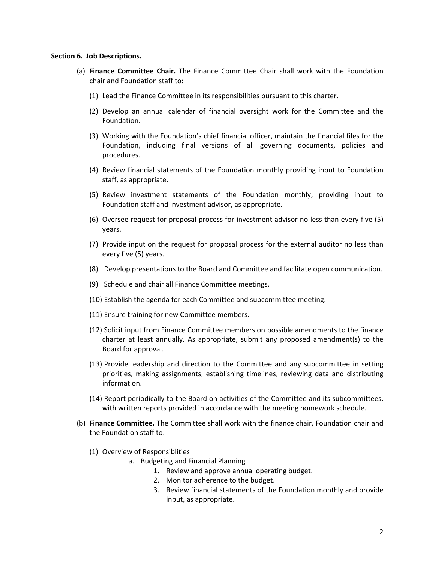#### **Section 6. Job Descriptions.**

- (a) **Finance Committee Chair.** The Finance Committee Chair shall work with the Foundation chair and Foundation staff to:
	- (1) Lead the Finance Committee in its responsibilities pursuant to this charter.
	- (2) Develop an annual calendar of financial oversight work for the Committee and the Foundation.
	- (3) Working with the Foundation's chief financial officer, maintain the financial files for the Foundation, including final versions of all governing documents, policies and procedures.
	- (4) Review financial statements of the Foundation monthly providing input to Foundation staff, as appropriate.
	- (5) Review investment statements of the Foundation monthly, providing input to Foundation staff and investment advisor, as appropriate.
	- (6) Oversee request for proposal process for investment advisor no less than every five (5) years.
	- (7) Provide input on the request for proposal process for the external auditor no less than every five (5) years.
	- (8) Develop presentations to the Board and Committee and facilitate open communication.
	- (9) Schedule and chair all Finance Committee meetings.
	- (10) Establish the agenda for each Committee and subcommittee meeting.
	- (11) Ensure training for new Committee members.
	- (12) Solicit input from Finance Committee members on possible amendments to the finance charter at least annually. As appropriate, submit any proposed amendment(s) to the Board for approval.
	- (13) Provide leadership and direction to the Committee and any subcommittee in setting priorities, making assignments, establishing timelines, reviewing data and distributing information.
	- (14) Report periodically to the Board on activities of the Committee and its subcommittees, with written reports provided in accordance with the meeting homework schedule.
- (b) **Finance Committee.** The Committee shall work with the finance chair, Foundation chair and the Foundation staff to:
	- (1) Overview of Responsiblities
		- a. Budgeting and Financial Planning
			- 1. Review and approve annual operating budget.
			- 2. Monitor adherence to the budget.
			- 3. Review financial statements of the Foundation monthly and provide input, as appropriate.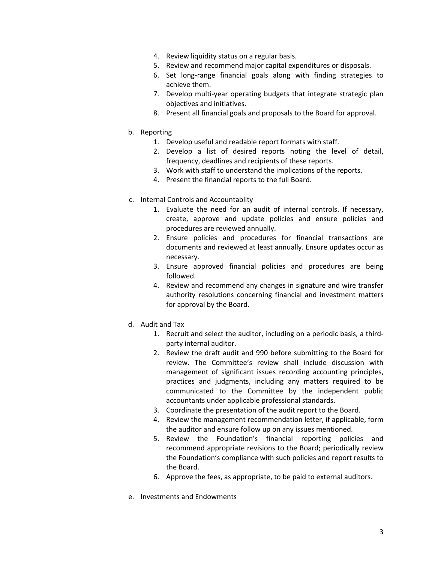- 4. Review liquidity status on a regular basis.
- 5. Review and recommend major capital expenditures or disposals.
- 6. Set long‐range financial goals along with finding strategies to achieve them.
- 7. Develop multi-year operating budgets that integrate strategic plan objectives and initiatives.
- 8. Present all financial goals and proposals to the Board for approval.
- b. Reporting
	- 1. Develop useful and readable report formats with staff.
	- 2. Develop a list of desired reports noting the level of detail, frequency, deadlines and recipients of these reports.
	- 3. Work with staff to understand the implications of the reports.
	- 4. Present the financial reports to the full Board.
- c. Internal Controls and Accountablity
	- 1. Evaluate the need for an audit of internal controls. If necessary, create, approve and update policies and ensure policies and procedures are reviewed annually.
	- 2. Ensure policies and procedures for financial transactions are documents and reviewed at least annually. Ensure updates occur as necessary.
	- 3. Ensure approved financial policies and procedures are being followed.
	- 4. Review and recommend any changes in signature and wire transfer authority resolutions concerning financial and investment matters for approval by the Board.
- d. Audit and Tax
	- 1. Recruit and select the auditor, including on a periodic basis, a third‐ party internal auditor.
	- 2. Review the draft audit and 990 before submitting to the Board for review. The Committee's review shall include discussion with management of significant issues recording accounting principles, practices and judgments, including any matters required to be communicated to the Committee by the independent public accountants under applicable professional standards.
	- 3. Coordinate the presentation of the audit report to the Board.
	- 4. Review the management recommendation letter, if applicable, form the auditor and ensure follow up on any issues mentioned.
	- 5. Review the Foundation's financial reporting policies and recommend appropriate revisions to the Board; periodically review the Foundation's compliance with such policies and report results to the Board.
	- 6. Approve the fees, as appropriate, to be paid to external auditors.
- e. Investments and Endowments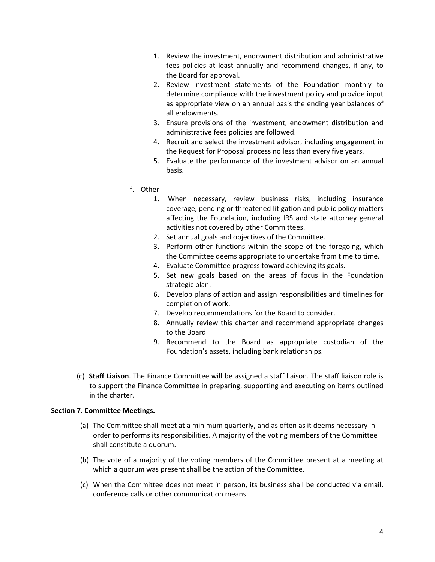- 1. Review the investment, endowment distribution and administrative fees policies at least annually and recommend changes, if any, to the Board for approval.
- 2. Review investment statements of the Foundation monthly to determine compliance with the investment policy and provide input as appropriate view on an annual basis the ending year balances of all endowments.
- 3. Ensure provisions of the investment, endowment distribution and administrative fees policies are followed.
- 4. Recruit and select the investment advisor, including engagement in the Request for Proposal process no less than every five years.
- 5. Evaluate the performance of the investment advisor on an annual basis.
- f. Other
	- 1. When necessary, review business risks, including insurance coverage, pending or threatened litigation and public policy matters affecting the Foundation, including IRS and state attorney general activities not covered by other Committees.
	- 2. Set annual goals and objectives of the Committee.
	- 3. Perform other functions within the scope of the foregoing, which the Committee deems appropriate to undertake from time to time.
	- 4. Evaluate Committee progress toward achieving its goals.
	- 5. Set new goals based on the areas of focus in the Foundation strategic plan.
	- 6. Develop plans of action and assign responsibilities and timelines for completion of work.
	- 7. Develop recommendations for the Board to consider.
	- 8. Annually review this charter and recommend appropriate changes to the Board
	- 9. Recommend to the Board as appropriate custodian of the Foundation's assets, including bank relationships.
- (c) **Staff Liaison**. The Finance Committee will be assigned a staff liaison. The staff liaison role is to support the Finance Committee in preparing, supporting and executing on items outlined in the charter.

# **Section 7. Committee Meetings.**

- (a) The Committee shall meet at a minimum quarterly, and as often as it deems necessary in order to performs its responsibilities. A majority of the voting members of the Committee shall constitute a quorum.
- (b) The vote of a majority of the voting members of the Committee present at a meeting at which a quorum was present shall be the action of the Committee.
- (c) When the Committee does not meet in person, its business shall be conducted via email, conference calls or other communication means.